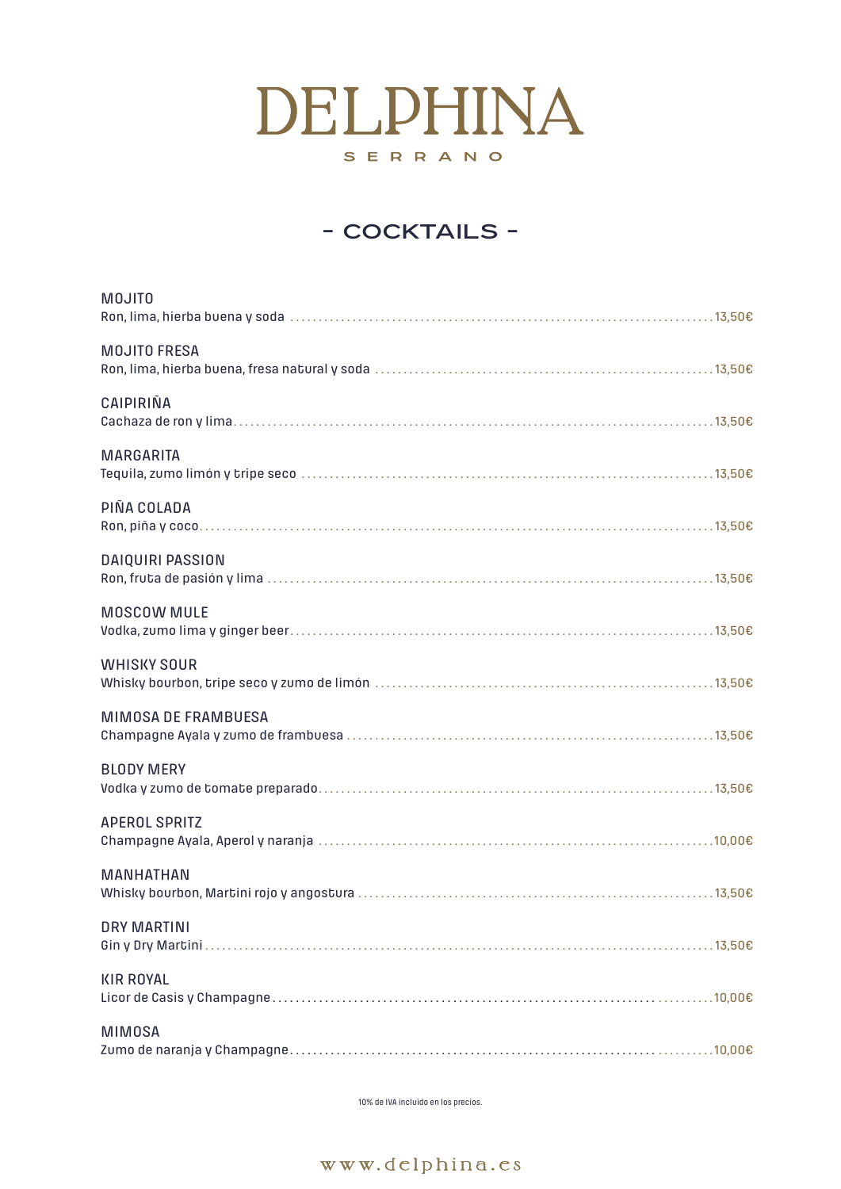10% de IVA incluido en los precios.



| <b>MOJITO</b>              |
|----------------------------|
| <b>MOJITO FRESA</b>        |
| CAIPIRIÑA                  |
| <b>MARGARITA</b>           |
| PIÑA COLADA                |
| <b>DAIQUIRI PASSION</b>    |
| <b>MOSCOW MULE</b>         |
| <b>WHISKY SOUR</b>         |
| <b>MIMOSA DE FRAMBUESA</b> |
| <b>BLODY MERY</b>          |
| <b>APEROL SPRITZ</b>       |
| <b>MANHATHAN</b>           |

### DRY MARTINI

|--|--|--|

## KIR ROYAL

|--|--|

### MIMOSA

|--|--|

# DELPHINA SERRANO

## - COCKTAILS -